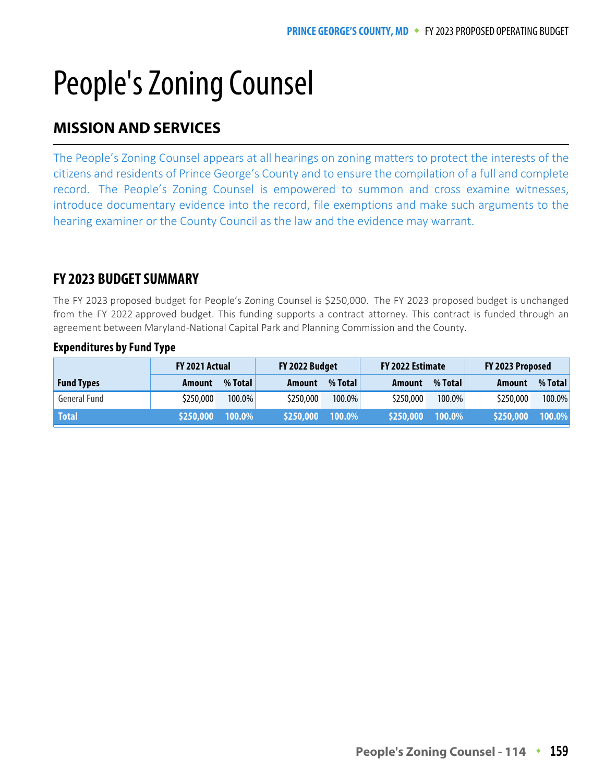# People's Zoning Counsel

#### **MISSION AND SERVICES MISSION AND SERVICES**

The People's Zoning Counsel appears at all hearings on zoning matters to protect the interests of the citizens and residents of Prince George's County and to ensure the compilation of a full and complete record. The People's Zoning Counsel is empowered to summon and cross examine witnesses, introduce documentary evidence into the record, file exemptions and make such arguments to the hearing examiner or the County Council as the law and the evidence may warrant.

### **FY 2023 BUDGET SUMMARY**

The FY 2023 proposed budget for People's Zoning Counsel is \$250,000. The FY 2023 proposed budget is unchanged from the FY 2022 approved budget. This funding supports a contract attorney. This contract is funded through an agreement between Maryland-National Capital Park and Planning Commission and the County.

|                   | FY 2021 Actual |           | FY 2022 Budget |           | FY 2022 Estimate |           | FY 2023 Proposed |           |
|-------------------|----------------|-----------|----------------|-----------|------------------|-----------|------------------|-----------|
| <b>Fund Types</b> | Amount         | % Total   | Amount         | % Total   | Amount           | % Total   | Amount           | % Total   |
| General Fund      | \$250,000      | $100.0\%$ | \$250,000      | 100.0%    | \$250,000        | $100.0\%$ | \$250,000        | $100.0\%$ |
| <b>Total</b>      | \$250,000      | 100.0%    | \$250,000      | $100.0\%$ | \$250,000        | 100.0%    | \$250,000        | $100.0\%$ |

#### **Expenditures by Fund Type**